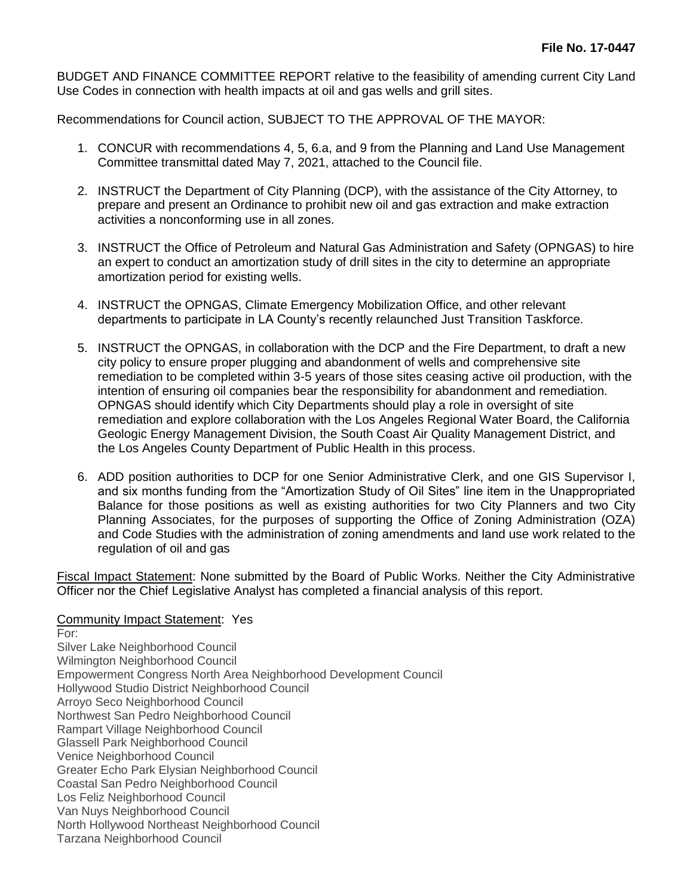BUDGET AND FINANCE COMMITTEE REPORT relative to the feasibility of amending current City Land Use Codes in connection with health impacts at oil and gas wells and grill sites.

Recommendations for Council action, SUBJECT TO THE APPROVAL OF THE MAYOR:

- 1. CONCUR with recommendations 4, 5, 6.a, and 9 from the Planning and Land Use Management Committee transmittal dated May 7, 2021, attached to the Council file.
- 2. INSTRUCT the Department of City Planning (DCP), with the assistance of the City Attorney, to prepare and present an Ordinance to prohibit new oil and gas extraction and make extraction activities a nonconforming use in all zones.
- 3. INSTRUCT the Office of Petroleum and Natural Gas Administration and Safety (OPNGAS) to hire an expert to conduct an amortization study of drill sites in the city to determine an appropriate amortization period for existing wells.
- 4. INSTRUCT the OPNGAS, Climate Emergency Mobilization Office, and other relevant departments to participate in LA County's recently relaunched Just Transition Taskforce.
- 5. INSTRUCT the OPNGAS, in collaboration with the DCP and the Fire Department, to draft a new city policy to ensure proper plugging and abandonment of wells and comprehensive site remediation to be completed within 3-5 years of those sites ceasing active oil production, with the intention of ensuring oil companies bear the responsibility for abandonment and remediation. OPNGAS should identify which City Departments should play a role in oversight of site remediation and explore collaboration with the Los Angeles Regional Water Board, the California Geologic Energy Management Division, the South Coast Air Quality Management District, and the Los Angeles County Department of Public Health in this process.
- 6. ADD position authorities to DCP for one Senior Administrative Clerk, and one GIS Supervisor I, and six months funding from the "Amortization Study of Oil Sites" line item in the Unappropriated Balance for those positions as well as existing authorities for two City Planners and two City Planning Associates, for the purposes of supporting the Office of Zoning Administration (OZA) and Code Studies with the administration of zoning amendments and land use work related to the regulation of oil and gas

Fiscal Impact Statement: None submitted by the Board of Public Works. Neither the City Administrative Officer nor the Chief Legislative Analyst has completed a financial analysis of this report.

## Community Impact Statement: Yes

For: Silver Lake Neighborhood Council Wilmington Neighborhood Council Empowerment Congress North Area Neighborhood Development Council Hollywood Studio District Neighborhood Council Arroyo Seco Neighborhood Council Northwest San Pedro Neighborhood Council Rampart Village Neighborhood Council Glassell Park Neighborhood Council Venice Neighborhood Council Greater Echo Park Elysian Neighborhood Council Coastal San Pedro Neighborhood Council Los Feliz Neighborhood Council Van Nuys Neighborhood Council North Hollywood Northeast Neighborhood Council Tarzana Neighborhood Council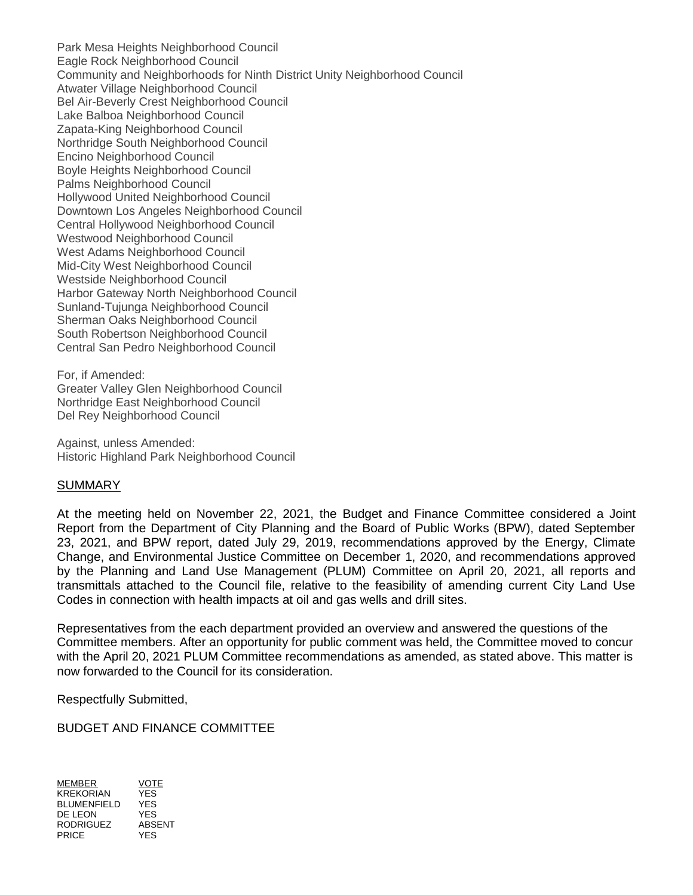Park Mesa Heights Neighborhood Council Eagle Rock Neighborhood Council Community and Neighborhoods for Ninth District Unity Neighborhood Council Atwater Village Neighborhood Council Bel Air-Beverly Crest Neighborhood Council Lake Balboa Neighborhood Council Zapata-King Neighborhood Council Northridge South Neighborhood Council Encino Neighborhood Council Boyle Heights Neighborhood Council Palms Neighborhood Council Hollywood United Neighborhood Council Downtown Los Angeles Neighborhood Council Central Hollywood Neighborhood Council Westwood Neighborhood Council West Adams Neighborhood Council Mid-City West Neighborhood Council Westside Neighborhood Council Harbor Gateway North Neighborhood Council Sunland-Tujunga Neighborhood Council Sherman Oaks Neighborhood Council South Robertson Neighborhood Council Central San Pedro Neighborhood Council

For, if Amended: Greater Valley Glen Neighborhood Council Northridge East Neighborhood Council Del Rey Neighborhood Council

Against, unless Amended: Historic Highland Park Neighborhood Council

## SUMMARY

At the meeting held on November 22, 2021, the Budget and Finance Committee considered a Joint Report from the Department of City Planning and the Board of Public Works (BPW), dated September 23, 2021, and BPW report, dated July 29, 2019, recommendations approved by the Energy, Climate Change, and Environmental Justice Committee on December 1, 2020, and recommendations approved by the Planning and Land Use Management (PLUM) Committee on April 20, 2021, all reports and transmittals attached to the Council file, relative to the feasibility of amending current City Land Use Codes in connection with health impacts at oil and gas wells and drill sites.

Representatives from the each department provided an overview and answered the questions of the Committee members. After an opportunity for public comment was held, the Committee moved to concur with the April 20, 2021 PLUM Committee recommendations as amended, as stated above. This matter is now forwarded to the Council for its consideration.

Respectfully Submitted,

BUDGET AND FINANCE COMMITTEE

MEMBER VOTE KREKORIAN BLUMENFIELD YES DE LEON YES<br>RODRIGUEZ ABSENT RODRIGUEZ ABSI<br>PRICE YES PRICE